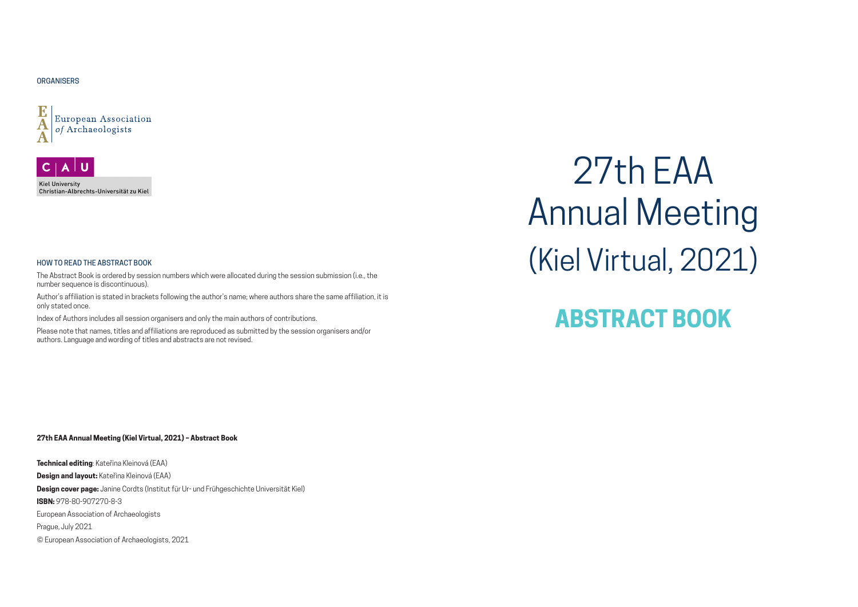#### **27th EAA Annual Meeting (Kiel Virtual, 2021) – Abstract Book**

**Technical editing**: Kateřina Kleinová (EAA) **Design and layout:** Kateřina Kleinová (EAA) **Design cover page:** Janine Cordts (Institut für Ur- und Frühgeschichte Universität Kiel) **ISBN:** 978-80-907270-8-3 European Association of Archaeologists Prague, July 2021 © European Association of Archaeologists, 2021

#### **ORGANISERS**





#### HOW TO READ THE ABSTRACT BOOK

The Abstract Book is ordered by session numbers which were allocated during the session submission (i.e., the number sequence is discontinuous).

Author's affiliation is stated in brackets following the author's name; where authors share the same affiliation, it is only stated once.

Index of Authors includes all session organisers and only the main authors of contributions.

Please note that names, titles and affiliations are reproduced as submitted by the session organisers and/or authors. Language and wording of titles and abstracts are not revised.

27th EAA Annual Meeting (Kiel Virtual, 2021)

# **ABSTRACT BOOK**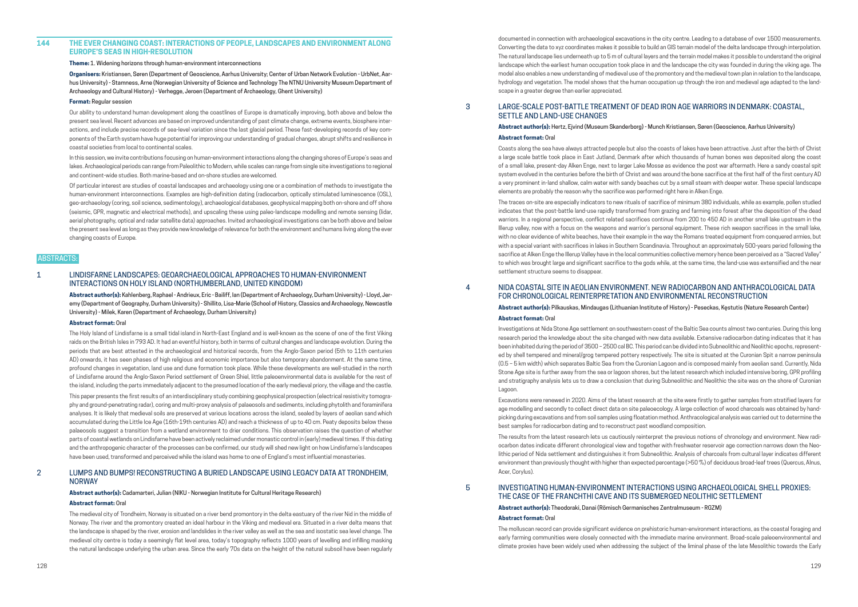#### **144 THE EVER CHANGING COAST: INTERACTIONS OF PEOPLE, LANDSCAPES AND ENVIRONMENT ALONG EUROPE'S SEAS IN HIGH-RESOLUTION**

**Theme:** 1. Widening horizons through human-environment interconnections

**Organisers:** Kristiansen, Søren (Department of Geoscience, Aarhus University; Center of Urban Network Evolution - UrbNet, Aarhus University) - Stamness, Arne (Norwegian University of Science and Technology The NTNU University Museum Department of Archaeology and Cultural History) - Verhegge, Jeroen (Department of Archaeology, Ghent University)

#### **Format:** Regular session

Our ability to understand human development along the coastlines of Europe is dramatically improving, both above and below the present sea level. Recent advances are based on improved understanding of past climate change, extreme events, biosphere interactions, and include precise records of sea-level variation since the last glacial period. These fast-developing records of key components of the Earth system have huge potential for improving our understanding of gradual changes, abrupt shifts and resilience in coastal societies from local to continental scales.

In this session, we invite contributions focusing on human-environment interactions along the changing shores of Europe's seas and lakes. Archaeological periods can range from Paleolithic to Modern, while scales can range from single site investigations to regional and continent-wide studies. Both marine-based and on-shore studies are welcomed.

Of particular interest are studies of coastal landscapes and archaeology using one or a combination of methods to investigate the human-environment interconnections. Examples are high-definition dating (radiocarbon, optically stimulated luminescence (OSL), geo-archaeology (coring, soil science, sedimentology), archaeological databases, geophysical mapping both on-shore and off shore (seismic, GPR, magnetic and electrical methods), and upscaling these using paleo-landscape modelling and remote sensing (lidar, aerial photography, optical and radar satellite data) approaches. Invited archaeological investigations can be both above and below the present sea level as long as they provide new knowledge of relevance for both the environment and humans living along the ever changing coasts of Europe.

#### ABSTRACTS:

#### 1 LINDISFARNE LANDSCAPES: GEOARCHAEOLOGICAL APPROACHES TO HUMAN-ENVIRONMENT INTERACTIONS ON HOLY ISLAND (NORTHUMBERLAND, UNITED KINGDOM)

**Abstract author(s):** Kahlenberg, Raphael - Andrieux, Eric - Bailiff, Ian (Department of Archaeology, Durham University) - Lloyd, Jeremy (Department of Geography, Durham University) - Shillito, Lisa-Marie (School of History, Classics and Archaeology, Newcastle University) - Milek, Karen (Department of Archaeology, Durham University)

#### **Abstract format:** Oral

The Holy Island of Lindisfarne is a small tidal island in North-East England and is well-known as the scene of one of the first Viking raids on the British Isles in 793 AD. It had an eventful history, both in terms of cultural changes and landscape evolution. During the periods that are best attested in the archaeological and historical records, from the Anglo-Saxon period (5th to 11th centuries AD) onwards, it has seen phases of high religious and economic importance but also temporary abandonment. At the same time, profound changes in vegetation, land use and dune formation took place. While these developments are well-studied in the north of Lindisfarne around the Anglo-Saxon Period settlement of Green Shiel, little paleoenvironmental data is available for the rest of the island, including the parts immediately adjacent to the presumed location of the early medieval priory, the village and the castle.

This paper presents the first results of an interdisciplinary study combining geophysical prospection (electrical resistivity tomography and ground-penetrating radar), coring and multi-proxy analysis of palaeosols and sediments, including phytolith and foraminifera analyses. It is likely that medieval soils are preserved at various locations across the island, sealed by layers of aeolian sand which accumulated during the Little Ice Age (16th-19th centuries AD) and reach a thickness of up to 40 cm. Peaty deposits below these palaeosols suggest a transition from a wetland environment to drier conditions. This observation raises the question of whether parts of coastal wetlands on Lindisfarne have been actively reclaimed under monastic control in (early) medieval times. If this dating and the anthropogenic character of the processes can be confirmed, our study will shed new light on how Lindisfarne's landscapes have been used, transformed and perceived while the island was home to one of England's most influential monasteries.

#### 2 LUMPS AND BUMPS! RECONSTRUCTING A BURIED LANDSCAPE USING LEGACY DATA AT TRONDHEIM, NORWAY

**Abstract author(s):** Cadamarteri, Julian (NIKU - Norwegian Institute for Cultural Heritage Research)

#### **Abstract format:** Oral

The medieval city of Trondheim, Norway is situated on a river bend promontory in the delta eastuary of the river Nid in the middle of Norway. The river and the promontory created an ideal harbour in the Viking and medieval era. Situated in a river delta means that the landscape is shaped by the river, erosion and landslides in the river valley as well as the sea and isostatic sea level change. The medieval city centre is today a seemingly flat level area, today's topography reflects 1000 years of levelling and infilling masking the natural landscape underlying the urban area. Since the early 70s data on the height of the natural subsoil have been regularly documented in connection with archaeological excavations in the city centre. Leading to a database of over 1500 measurements. Converting the data to xyz coordinates makes it possible to build an GIS terrain model of the delta landscape through interpolation. The natural landscape lies underneath up to 5 m of cultural layers and the terrain model makes it possible to understand the original landscape which the earliest human occupation took place in and the landscape the city was founded in during the viking age. The model also enables a new understanding of medieval use of the promontory and the medieval town plan in relation to the landscape, hydrology and vegetation. The model shows that the human occupation up through the iron and medieval age adapted to the landscape in a greater degree than earlier appreciated.

### 3 LARGE-SCALE POST-BATTLE TREATMENT OF DEAD IRON AGE WARRIORS IN DENMARK: COASTAL, SETTLE AND LAND-USE CHANGES

#### **Abstract author(s):** Hertz, Ejvind (Museum Skanderborg) - Munch Kristiansen, Søren (Geoscience, Aarhus University) **Abstract format:** Oral

Coasts along the sea have always attracted people but also the coasts of lakes have been attractive. Just after the birth of Christ a large scale battle took place in East Jutland, Denmark after which thousands of human bones was deposited along the coast of a small lake, present-day Alken Enge, next to larger Lake Mossø as evidence the post war aftermath. Here a sandy coastal spit system evolved in the centuries before the birth of Christ and was around the bone sacrifice at the first half of the first century AD a very prominent in-land shallow, calm water with sandy beaches cut by a small steam with deeper water. These special landscape elements are probably the reason why the sacrifice was performed right here in Alken Enge. The traces on-site are especially indicators to new rituals of sacrifice of minimum 380 individuals, while as example, pollen studied indicates that the post-battle land-use rapidly transformed from grazing and farming into forest after the deposition of the dead warriors. In a regional perspective, conflict related sacrifices continue from 200 to 450 AD in another small lake upstream in the Illerup valley, now with a focus on the weapons and warrior's personal equipment. These rich weapon sacrifices in the small lake, with no clear evidence of white beaches, have their example in the way the Romans treated equipment from conquered armies, but with a special variant with sacrifices in lakes in Southern Scandinavia. Throughout an approximately 500-years period following the sacrifice at Alken Enge the Illerup Valley have in the local communities collective memory hence been perceived as a "Sacred Valley" to which was brought large and significant sacrifice to the gods while, at the same time, the land-use was extensified and the near settlement structure seems to disappear.

### 4 NIDA COASTAL SITE IN AEOLIAN ENVIRONMENT. NEW RADIOCARBON AND ANTHRACOLOGICAL DATA FOR CHRONOLOGICAL REINTERPRETATION AND ENVIRONMENTAL RECONSTRUCTION

**Abstract author(s):** Pilkauskas, Mindaugas (Lithuanian Institute of History) - Peseckas, Kęstutis (Nature Research Center) **Abstract format:** Oral

Investigations at Nida Stone Age settlement on southwestern coast of the Baltic Sea counts almost two centuries. During this long research period the knowledge about the site changed with new data available. Extensive radiocarbon dating indicates that it has been inhabited during the period of 3500 – 2500 cal BC. This period can be divided into Subneolithic and Neolithic epochs, represented by shell tempered and mineral/grog tempered pottery respectively. The site is situated at the Curonian Spit a narrow peninsula (0.5 – 5 km width) which separates Baltic Sea from the Curonian Lagoon and is composed mainly from aeolian sand. Currently, Nida Stone Age site is further away from the sea or lagoon shores, but the latest research which included intensive boring, GPR profiling and stratigraphy analysis lets us to draw a conclusion that during Subneolithic and Neolithic the site was on the shore of Curonian Lagoon.

Excavations were renewed in 2020. Aims of the latest research at the site were firstly to gather samples from stratified layers for age modelling and secondly to collect direct data on site paleoecology. A large collection of wood charcoals was obtained by handpicking during excavations and from soil samples using floatation method. Anthracological analysis was carried out to determine the best samples for radiocarbon dating and to reconstruct past woodland composition.

The results from the latest research lets us cautiously reinterpret the previous notions of chronology and environment. New radiocarbon dates indicate different chronological view and together with freshwater reservoir age correction narrows down the Neolithic period of Nida settlement and distinguishes it from Subneolithic. Analysis of charcoals from cultural layer indicates different environment than previously thought with higher than expected percentage (>50 %) of deciduous broad-leaf trees (Quercus, Alnus, Acer, Corylus).

### 5 INVESTIGATING HUMAN-ENVIRONMENT INTERACTIONS USING ARCHAEOLOGICAL SHELL PROXIES: THE CASE OF THE FRANCHTHI CAVE AND ITS SUBMERGED NEOLITHIC SETTLEMENT

**Abstract author(s):** Theodoraki, Danai (Römisch Germanisches Zentralmuseum - RGZM) **Abstract format:** Oral

The molluscan record can provide significant evidence on prehistoric human-environment interactions, as the coastal foraging and early farming communities were closely connected with the immediate marine environment. Broad-scale paleoenvironmental and climate proxies have been widely used when addressing the subject of the liminal phase of the late Mesolithic towards the Early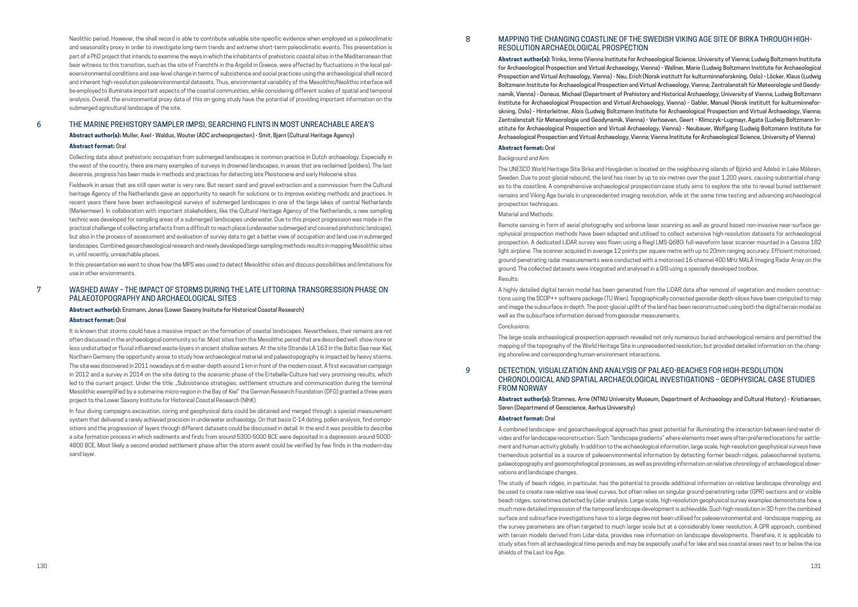Neolithic period. However, the shell record is able to contribute valuable site-specific evidence when employed as a paleoclimatic and seasonality proxy in order to investigate long-term trends and extreme short-term paleoclimatic events. This presentation is part of a PhD project that intends to examine the ways in which the inhabitants of prehistoric coastal sites in the Mediterranean that bear witness to this transition, such as the site of Franchthi in the Argolid in Greece, were affected by fluctuations in the local paleoenvironmental conditions and sea-level change in terms of subsistence and social practices using the archaeological shell record and inherent high-resolution paleoenvironmental datasets. Thus, environmental variability of the Mesolithic/Neolithic interface will be employed to illuminate important aspects of the coastal communities, while considering different scales of spatial and temporal analysis. Overall, the environmental proxy data of this on-going study have the potential of providing important information on the submerged agricultural landscape of the site.

#### 6 THE MARINE PREHISTORY SAMPLER (MPS), SEARCHING FLINTS IN MOST UNREACHABLE AREA'S

**Abstract author(s):** Muller, Axel - Waldus, Wouter (ADC archeoprojecten) - Smit, Bjørn (Cultural Heritage Agency)

#### **Abstract format:** Oral

Collecting data about prehistoric occupation from submerged landscapes is common practice in Dutch archaeology. Especially in the west of the country, there are many examples of surveys in drowned landscapes, in areas that are reclaimed (polders). The last decennia, progress has been made in methods and practices for detecting late Pleistocene and early Holocene sites.

Fieldwork in areas that are still open water is very rare. But recent sand and gravel extraction and a commission from the Cultural heritage Agency of the Netherlands gave an opportunity to search for solutions or to improve existing methods and practices. In recent years there have been archaeological surveys of submerged landscapes in one of the large lakes of central Netherlands (Markermeer). In collaboration with important stakeholders, like the Cultural Heritage Agency of the Netherlands, a new sampling technic was developed for sampling areas of a submerged landscapes underwater. Due to this project progression was made in the practical challenge of collecting artefacts from a difficult to reach place (underwater submerged and covered prehistoric landcape), but also in the process of assessment and evaluation of survey data to get a better view of occupation and land use in submerged landscapes. Combined geoarchaeological research and newly developed large sampling methods results in mapping Mesolithic sites in, until recently, unreachable places.

In this presentation we want to show how the MPS was used to detect Mesolithic sites and discuss possibilities and limitations for use in other enviornments.

#### 7 WASHED AWAY – THE IMPACT OF STORMS DURING THE LATE LITTORINA TRANSGRESSION PHASE ON PALAEOTOPOGRAPHY AND ARCHAEOLOGICAL SITES

**Abstract author(s):** Enzmann, Jonas (Lower Saxony Insitute for Historical Coastal Research)

#### **Abstract format:** Oral

It is known that storms could have a massive impact on the formation of coastal landscapes. Nevertheless, their remains are not often discussed in the archaeological community so far. Most sites from the Mesolithic period that are described well, show more or less undisturbed or fluvial influenced waste-layers in ancient shallow waters. At the site Strande LA 163 in the Baltic Sea near Kiel, Northern Germany the opportunity arose to study how archaeological material and palaeotopography is impacted by heavy storms. The site was discovered in 2011 nowadays at 6 m water-depth around 1 km in front of the modern coast. A first excavation campaign in 2012 and a survey in 2014 on the site dating to the aceramic phase of the Ertebølle-Culture had very promising results, which led to the current project. Under the title: "Subsistence strategies, settlement structure and communication during the terminal Mesolithic exemplified by a submarine micro-region in the Bay of Kiel" the German Research Foundation (DFG) granted a three years project to the Lower Saxony Institute for Historical Coastal Research (NIhK).

In four diving campaigns excavation, coring and geophysical data could be obtained and merged through a special measurement system that delivered a rarely achieved precision in underwater archaeology. On that basis C-14 dating, pollen analysis, find compositions and the progression of layers through different datasets could be discussed in detail. In the end it was possible to describe a site formation process in which sediments and finds from around 5300-5000 BCE were deposited in a depression around 5000- 4800 BCE. Most likely a second eroded settlement phase after the storm event could be verified by few finds in the modern-day sand layer.

#### 8 MAPPING THE CHANGING COASTLINE OF THE SWEDISH VIKING AGE SITE OF BIRKA THROUGH HIGH-RESOLUTION ARCHAEOLOGICAL PROSPECTION

**Abstract author(s):** Trinks, Immo (Vienna Institute for Archaeological Science, University of Vienna; Ludwig Boltzmann Institute for Archaeological Prospection and Virtual Archaeology, Vienna) - Wallner, Mario (Ludwig Boltzmann Institute for Archaeological Prospection and Virtual Archaeology, Vienna) - Nau, Erich (Norsk institutt for kulturminneforskning, Oslo) - Löcker, Klaus (Ludwig Boltzmann Institute for Archaeological Prospection and Virtual Archaeology, Vienna; Zentralanstalt für Meteorologie und Geodynamik, Vienna) - Doneus, Michael (Department of Prehistory and Historical Archaeology, University of Vienna; Ludwig Boltzmann Institute for Archaeological Prospection and Virtual Archaeology, Vienna) - Gabler, Manuel (Norsk institutt for kulturminneforskning, Oslo) - Hinterleitner, Alois (Ludwig Boltzmann Institute for Archaeological Prospection and Virtual Archaeology, Vienna; Zentralanstalt für Meteorologie und Geodynamik, Vienna) - Verhoeven, Geert - Klimczyk–Lugmayr, Agata (Ludwig Boltzmann Institute for Archaeological Prospection and Virtual Archaeology, Vienna) - Neubauer, Wolfgang (Ludwig Boltzmann Institute for Archaeological Prospection and Virtual Archaeology, Vienna; Vienna Institute for Archaeological Science, University of Vienna)

#### **Abstract format:** Oral

#### Background and Aim:

The UNESCO World Heritage Site Birka and Hovgården is located on the neighbouring islands of Björkö and Adelsö in Lake Mälaren, Sweden. Due to post-glacial rebound, the land has risen by up to six metres over the past 1,200 years, causing substantial changes to the coastline. A comprehensive archaeological prospection case study aims to explore the site to reveal buried settlement remains and Viking Age burials in unprecedented imaging resolution, while at the same time testing and advancing archaeological prospection techniques.

#### Material and Methods:

Remote sensing in form of aerial photography and airborne laser scanning as well as ground based non-invasive near-surface geophysical prospection methods have been adapted and utilised to collect extensive high-resolution datasets for archaeological prospection. A dedicated LiDAR survey was flown using a Riegl LMS-Q680i full-waveform laser scanner mounted in a Cessna 182 light airplane. The scanner acquired in average 12 points per square metre with up to 20mm ranging accuracy. Efficient motorised, ground-penetrating radar measurements were conducted with a motorised 16-channel 400 MHz MALÅ Imaging Radar Array on the ground. The collected datasets were integrated and analysed in a GIS using a specially developed toolbox. Results:

A highly detailed digital terrain model has been generated from the LiDAR data after removal of vegetation and modern constructions using the SCOP++ software package (TU Wien). Topographically corrected georadar depth-slices have been computed to map and image the subsurface in-depth. The post-glacial uplift of the land has been reconstructed using both the digital terrain model as well as the subsurface information derived from georadar measurements. Conclusions:

The large-scale archaeological prospection approach revealed not only numerous buried archaeological remains and permitted the mapping of the topography of the World Heritage Site in unprecedented resolution, but provided detailed information on the changing shoreline and corresponding human-environment interactions.

#### 9 DETECTION, VISUALIZATION AND ANALYSIS OF PALAEO-BEACHES FOR HIGH-RESOLUTION CHRONOLOGICAL AND SPATIAL ARCHAEOLOGICAL INVESTIGATIONS – GEOPHYSICAL CASE STUDIES FROM NORWAY

#### **Abstract author(s):** Stamnes, Arne (NTNU University Museum, Department of Archaeology and Cultural History) - Kristiansen,

Søren (Departmend of Geoscience, Aarhus University)

#### **Abstract format:** Oral

A combined landscape- and geoarchaeological approach has great potential for illuminating the interaction between land-water divides and for landscape reconstruction. Such "landscape gradients" where elements meet were often preferred locations for settlement and human activity globally. In addition to the archaeological information, large scale, high-resolution geophysical surveys have tremendous potential as a source of paleoenvironmental information by detecting former beach ridges, palaeochannel systems, palaeotopography and geomorphological processes, as well as providing information on relative chronology of archaeological observations and landscape changes.

The study of beach ridges, in particular, has the potential to provide additional information on relative landscape chronology and be used to create new relative sea-level curves, but often relies on singular ground-penetrating radar (GPR) sections and or visible beach ridges, sometimes detected by Lidar-analysis. Large scale, high-resolution geophysical survey examples demonstrate how a much more detailed impression of the temporal landscape development is achievable. Such high-resolution in 3D from the combined surface and subsurface investigations have to a large degree not been utilised for paleoenvironmental and -landscape mapping, as the survey parameters are often targeted to much larger scale but at a considerably lower resolution. A GPR approach, combined with terrain models derived from Lidar-data, provides new information on landscape developments. Therefore, it is applicable to study sites from all archaeological time periods and may be especially useful for lake and sea coastal areas next to or below the ice shields of the Last Ice Age.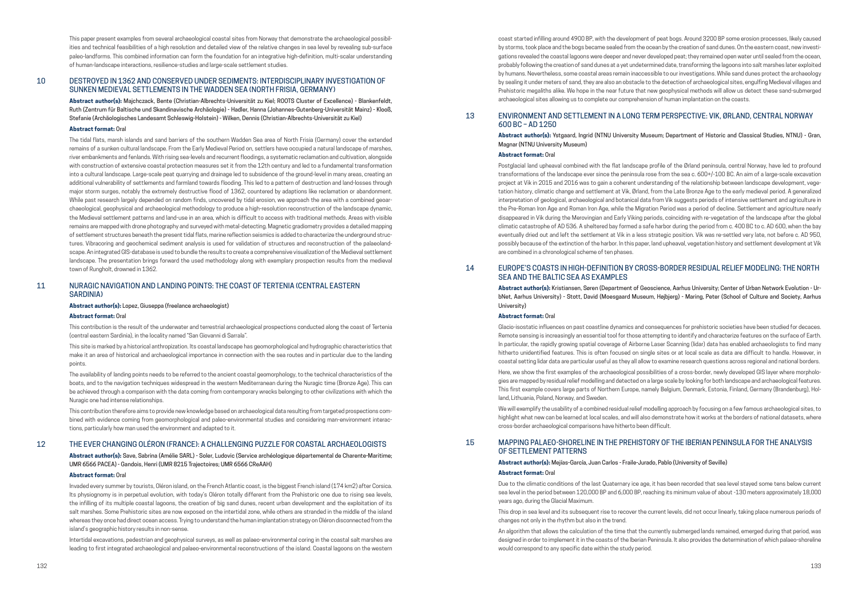This paper present examples from several archaeological coastal sites from Norway that demonstrate the archaeological possibilities and technical feasibilities of a high resolution and detailed view of the relative changes in sea level by revealing sub-surface paleo-landforms. This combined information can form the foundation for an integrative high-definition, multi-scalar understanding of human-landscape interactions, resilience-studies and large-scale settlement studies.

#### 10 DESTROYED IN 1362 AND CONSERVED UNDER SEDIMENTS: INTERDISCIPLINARY INVESTIGATION OF SUNKEN MEDIEVAL SETTLEMENTS IN THE WADDEN SEA (NORTH FRISIA, GERMANY)

**Abstract author(s):** Majchczack, Bente (Christian-Albrechts-Universität zu Kiel; ROOTS Cluster of Excellence) - Blankenfeldt, Ruth (Zentrum für Baltische und Skandinavische Archäologie) - Hadler, Hanna (Johannes-Gutenberg-Universität Mainz) - Klooß, Stefanie (Archäologisches Landesamt Schleswig-Holstein) - Wilken, Dennis (Christian-Albrechts-Universität zu Kiel)

#### **Abstract format:** Oral

The tidal flats, marsh islands and sand barriers of the southern Wadden Sea area of North Frisia (Germany) cover the extended remains of a sunken cultural landscape. From the Early Medieval Period on, settlers have occupied a natural landscape of marshes, river embankments and fenlands. With rising sea-levels and recurrent floodings, a systematic reclamation and cultivation, alongside with construction of extensive coastal protection measures set it from the 12th century and led to a fundamental transformation into a cultural landscape. Large-scale peat quarrying and drainage led to subsidence of the ground-level in many areas, creating an additional vulnerability of settlements and farmland towards flooding. This led to a pattern of destruction and land-losses through major storm surges, notably the extremely destructive flood of 1362, countered by adaptions like reclamation or abandonment. While past research largely depended on random finds, uncovered by tidal erosion, we approach the area with a combined geoarchaeological, geophysical and archaeological methodology to produce a high-resolution reconstruction of the landscape dynamic, the Medieval settlement patterns and land-use in an area, which is difficult to access with traditional methods. Areas with visible remains are mapped with drone photography and surveyed with metal-detecting. Magnetic gradiometry provides a detailed mapping of settlement structures beneath the present tidal flats, marine reflection seismics is added to characterize the underground structures. Vibracoring and geochemical sediment analysis is used for validation of structures and reconstruction of the palaeolandscape. An integrated GIS-database is used to bundle the results to create a comprehensive visualization of the Medieval settlement landscape. The presentation brings forward the used methodology along with exemplary prospection results from the medieval town of Rungholt, drowned in 1362.

#### 11 NURAGIC NAVIGATION AND LANDING POINTS: THE COAST OF TERTENIA (CENTRAL EASTERN SARDINIA)

#### **Abstract author(s):** Lopez, Giuseppa (freelance archaeologist)

#### **Abstract format:** Oral

This contribution is the result of the underwater and terrestrial archaeological prospections conducted along the coast of Tertenia (central eastern Sardinia), in the locality named "San Giovanni di Sarrala".

This site is marked by a historical anthropization. Its coastal landscape has geomorphological and hydrographic characteristics that make it an area of historical and archaeological importance in connection with the sea routes and in particular due to the landing points.

The availability of landing points needs to be referred to the ancient coastal geomorphology, to the technical characteristics of the boats, and to the navigation techniques widespread in the western Mediterranean during the Nuragic time (Bronze Age). This can be achieved through a comparison with the data coming from contemporary wrecks belonging to other civilizations with which the Nuragic one had intense relationships.

This contribution therefore aims to provide new knowledge based on archaeological data resulting from targeted prospections combined with evidence coming from geomorphological and paleo-environmental studies and considering man-environment interactions, particularly how man used the environment and adapted to it.

#### 12 THE EVER CHANGING OLÉRON (FRANCE): A CHALLENGING PUZZLE FOR COASTAL ARCHAEOLOGISTS

**Abstract author(s):** Save, Sabrina (Amélie SARL) - Soler, Ludovic (Service archéologique départemental de Charente-Maritime; UMR 6566 PACEA) - Gandois, Henri (UMR 8215 Trajectoires; UMR 6566 CReAAH)

#### **Abstract format:** Oral

Invaded every summer by tourists, Oléron island, on the French Atlantic coast, is the biggest French island (174 km2) after Corsica. Its physiognomy is in perpetual evolution, with today's Oléron totally different from the Prehistoric one due to rising sea levels, the infilling of its multiple coastal lagoons, the creation of big sand dunes, recent urban development and the exploitation of its salt marshes. Some Prehistoric sites are now exposed on the intertidal zone, while others are stranded in the middle of the island whereas they once had direct ocean access. Trying to understand the human implantation strategy on Oléron disconnected from the island's geographic history results in non-sense.

Intertidal excavations, pedestrian and geophysical surveys, as well as palaeo-environmental coring in the coastal salt marshes are leading to first integrated archaeological and palaeo-environmental reconstructions of the island. Coastal lagoons on the western

coast started infilling around 4900 BP, with the development of peat bogs. Around 3200 BP some erosion processes, likely caused by storms, took place and the bogs became sealed from the ocean by the creation of sand dunes. On the eastern coast, new investigations revealed the coastal lagoons were deeper and never developed peat; they remained open water until sealed from the ocean, probably following the creation of sand dunes at a yet undetermined date, transforming the lagoons into salt marshes later exploited by humans. Nevertheless, some coastal areas remain inaccessible to our investigations. While sand dunes protect the archaeology by sealing it under meters of sand, they are also an obstacle to the detection of archaeological sites, engulfing Medieval villages and Prehistoric megaliths alike. We hope in the near future that new geophysical methods will allow us detect these sand-submerged archaeological sites allowing us to complete our comprehension of human implantation on the coasts.

### 13 ENVIRONMENT AND SETTLEMENT IN A LONG TERM PERSPECTIVE: VIK, ØRLAND, CENTRAL NORWAY

## 600 BC – AD 1250

**Abstract author(s):** Ystgaard, Ingrid (NTNU University Museum; Department of Historic and Classical Studies, NTNU) - Gran,

Magnar (NTNU University Museum)

#### **Abstract format:** Oral

Postglacial land upheaval combined with the flat landscape profile of the Ørland peninsula, central Norway, have led to profound transformations of the landscape ever since the peninsula rose from the sea c. 600+/-100 BC. An aim of a large-scale excavation project at Vik in 2015 and 2016 was to gain a coherent understanding of the relationship between landscape development, vegetation history, climatic change and settlement at Vik, Ørland, from the Late Bronze Age to the early medieval period. A generalized interpretation of geological, archaeological and botanical data from Vik suggests periods of intensive settlement and agriculture in the Pre-Roman Iron Age and Roman Iron Age, while the Migration Period was a period of decline. Settlement and agriculture nearly disappeared in Vik during the Merovingian and Early Viking periods, coinciding with re-vegetation of the landscape after the global climatic catastrophe of AD 536. A sheltered bay formed a safe harbor during the period from c. 400 BC to c. AD 600, when the bay eventually dried out and left the settlement at Vik in a less strategic position. Vik was re-settled very late, not before c. AD 950, possibly because of the extinction of the harbor. In this paper, land upheaval, vegetation history and settlement development at Vik are combined in a chronological scheme of ten phases.

#### 14 EUROPE'S COASTS IN HIGH-DEFINITION BY CROSS-BORDER RESIDUAL RELIEF MODELING: THE NORTH SEA AND THE BALTIC SEA AS EXAMPLES

**Abstract author(s):** Kristiansen, Søren (Department of Geoscience, Aarhus University; Center of Urban Network Evolution - UrbNet, Aarhus University) - Stott, David (Moesgaard Museum, Højbjerg) - Maring, Peter (School of Culture and Society, Aarhus University)

#### **Abstract format:** Oral

Glacio-isostatic influences on past coastline dynamics and consequences for prehistoric societies have been studied for decaces. Remote sensing is increasingly an essential tool for those attempting to identify and characterize features on the surface of Earth. In particular, the rapidly growing spatial coverage of Airborne Laser Scanning (lidar) data has enabled archaeologists to find many hitherto unidentified features. This is often focused on single sites or at local scale as data are difficult to handle. However, in coastal setting lidar data are particular useful as they all allow to examine research questions across regional and national borders.

Here, we show the first examples of the archaeological possibilities of a cross-border, newly developed GIS layer where morphologies are mapped by residual relief modelling and detected on a large scale by looking for both landscape and archaeological features. This first example covers large parts of Northern Europe, namely Belgium, Denmark, Estonia, Finland, Germany (Brandenburg), Holland, Lithuania, Poland, Norway, and Sweden.

We will exemplify the usability of a combined residual relief modelling approach by focusing on a few famous archaeological sites, to highlight what new can be learned at local scales, and will also demonstrate how it works at the borders of national datasets, where cross-border archaeological comparisons have hitherto been difficult.

#### 15 MAPPING PALAEO-SHORELINE IN THE PREHISTORY OF THE IBERIAN PENINSULA FOR THE ANALYSIS OF SETTLEMENT PATTERNS

**Abstract author(s):** Mejías-García, Juan Carlos - Fraile-Jurado, Pablo (University of Seville) **Abstract format:** Oral

Due to the climatic conditions of the last Quaternary ice age, it has been recorded that sea level stayed some tens below current sea level in the period between 120,000 BP and 6,000 BP, reaching its minimum value of about -130 meters approximately 18,000 years ago, during the Glacial Maximum.

This drop in sea level and its subsequent rise to recover the current levels, did not occur linearly, taking place numerous periods of changes not only in the rhythm but also in the trend.

An algorithm that allows the calculation of the time that the currently submerged lands remained, emerged during that period, was designed in order to implement it in the coasts of the Iberian Peninsula. It also provides the determination of which palaeo-shoreline would correspond to any specific date within the study period.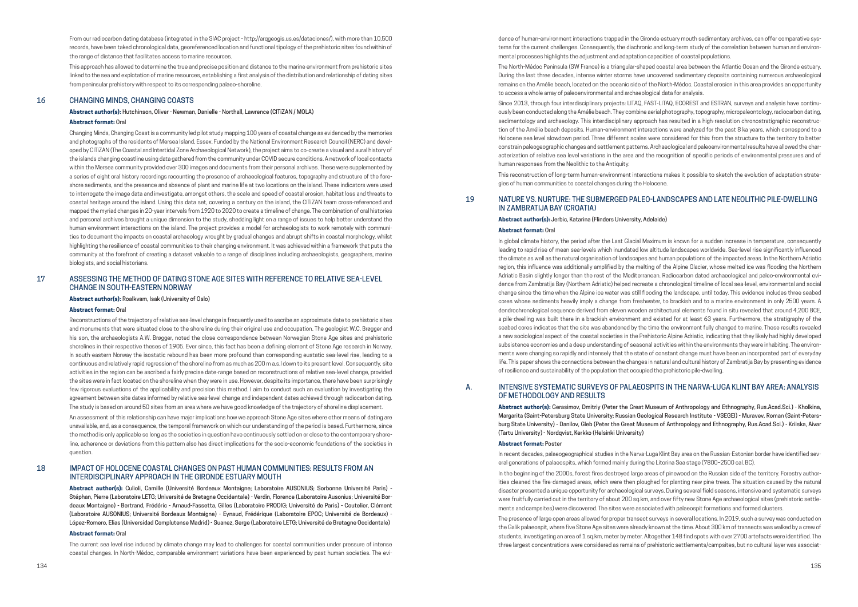From our radiocarbon dating database (integrated in the SIAC project - http://arqgeogis.us.es/dataciones/), with more than 10,500 records, have been taked chronological data, georeferenced location and functional tipology of the prehistoric sites found within of the range of distance that facilitates access to marine resources.

This approach has allowed to determine the true and precise position and distance to the marine environment from prehistoric sites linked to the sea and explotation of marine resources, establishing a first analysis of the distribution and relationship of dating sites from peninsular prehistory with respect to its corresponding palaeo-shoreline.

#### 16 CHANGING MINDS, CHANGING COASTS

#### **Abstract author(s):** Hutchinson, Oliver - Newman, Danielle - Northall, Lawrence (CITiZAN / MOLA)

#### **Abstract format:** Oral

Changing Minds, Changing Coast is a community led pilot study mapping 100 years of coastal change as evidenced by the memories and photographs of the residents of Mersea Island, Essex. Funded by the National Environment Research Council (NERC) and developed by CITiZAN (The Coastal and Intertidal Zone Archaeological Network), the project aims to co-create a visual and aural history of the islands changing coastline using data gathered from the community under COVID secure conditions. A network of local contacts within the Mersea community provided over 300 images and documents from their personal archives. These were supplemented by a series of eight oral history recordings recounting the presence of archaeological features, topography and structure of the foreshore sediments, and the presence and absence of plant and marine life at two locations on the island. These indicators were used to interrogate the image data and investigate, amongst others, the scale and speed of coastal erosion, habitat loss and threats to coastal heritage around the island. Using this data set, covering a century on the island, the CITiZAN team cross-referenced and mapped the myriad changes in 20-year intervals from 1920 to 2020 to create a timeline of change. The combination of oral histories and personal archives brought a unique dimension to the study, shedding light on a range of issues to help better understand the human-environment interactions on the island. The project provides a model for archaeologists to work remotely with communities to document the impacts on coastal archaeology wrought by gradual changes and abrupt shifts in coastal morphology, whilst highlighting the resilience of coastal communities to their changing environment. It was achieved within a framework that puts the community at the forefront of creating a dataset valuable to a range of disciplines including archaeologists, geographers, marine biologists, and social historians.

#### 17 ASSESSING THE METHOD OF DATING STONE AGE SITES WITH REFERENCE TO RELATIVE SEA-LEVEL CHANGE IN SOUTH-EASTERN NORWAY

**Abstract author(s):** Roalkvam, Isak (University of Oslo)

#### **Abstract format:** Oral

Reconstructions of the trajectory of relative sea-level change is frequently used to ascribe an approximate date to prehistoric sites and monuments that were situated close to the shoreline during their original use and occupation. The geologist W.C. Brøgger and his son, the archaeologists A.W. Brøgger, noted the close correspondence between Norwegian Stone Age sites and prehistoric shorelines in their respective theses of 1905. Ever since, this fact has been a defining element of Stone Age research in Norway. In south-eastern Norway the isostatic rebound has been more profound than corresponding eustatic sea-level rise, leading to a continuous and relatively rapid regression of the shoreline from as much as 200 m a.s.l down to its present level. Consequently, site activities in the region can be ascribed a fairly precise date-range based on reconstructions of relative sea-level change, provided the sites were in fact located on the shoreline when they were in use. However, despite its importance, there have been surprisingly few rigorous evaluations of the applicability and precision this method. I aim to conduct such an evaluation by investigating the agreement between site dates informed by relative sea-level change and independent dates achieved through radiocarbon dating. The study is based on around 50 sites from an area where we have good knowledge of the trajectory of shoreline displacement.

An assessment of this relationship can have major implications how we approach Stone Age sites where other means of dating are unavailable, and, as a consequence, the temporal framework on which our understanding of the period is based. Furthermore, since the method is only applicable so long as the societies in question have continuously settled on or close to the contemporary shoreline, adherence or deviations from this pattern also has direct implications for the socio-economic foundations of the societies in question.

#### 18 IMPACT OF HOLOCENE COASTAL CHANGES ON PAST HUMAN COMMUNITIES: RESULTS FROM AN INTERDISCIPLINARY APPROACH IN THE GIRONDE ESTUARY MOUTH

**Abstract author(s):** Culioli, Camille (Université Bordeaux Montaigne; Laboratoire AUSONIUS; Sorbonne Université Paris) - Stéphan, Pierre (Laboratoire LETG; Université de Bretagne Occidentale) - Verdin, Florence (Laboratoire Ausonius; Université Bordeaux Montaigne) - Bertrand, Frédéric - Arnaud-Fassetta, Gilles (Laboratoire PRODIG; Université de Paris) - Coutelier, Clément (Laboratoire AUSONIUS; Université Bordeaux Montaigne) - Eynaud, Frédérique (Laboratoire EPOC; Université de Bordeaux) - López-Romero, Elias (Universidad Complutense Madrid) - Suanez, Serge (Laboratoire LETG; Université de Bretagne Occidentale)

#### **Abstract format:** Oral

The current sea level rise induced by climate change may lead to challenges for coastal communities under pressure of intense coastal changes. In North-Médoc, comparable environment variations have been experienced by past human societies. The evidence of human-environment interactions trapped in the Gironde estuary mouth sedimentary archives, can offer comparative systems for the current challenges. Consequently, the diachronic and long-term study of the correlation between human and environmental processes highlights the adjustment and adaptation capacities of coastal populations.

The North-Médoc Peninsula (SW France) is a triangular-shaped coastal area between the Atlantic Ocean and the Gironde estuary. During the last three decades, intense winter storms have uncovered sedimentary deposits containing numerous archaeological remains on the Amélie beach, located on the oceanic side of the North-Médoc. Coastal erosion in this area provides an opportunity to access a whole array of paleoenvironmental and archaeological data for analysis.

Since 2013, through four interdisciplinary projects: LITAQ, FAST-LITAQ, ECOREST and ESTRAN, surveys and analysis have continuously been conducted along the Amélie beach. They combine aerial photography, topography, micropaleontology, radiocarbon dating, sedimentology and archaeology. This interdisciplinary approach has resulted in a high-resolution chronostratigraphic reconstruction of the Amélie beach deposits. Human-environment interactions were analyzed for the past 8 ka years, which correspond to a Holocene sea level slowdown period. Three different scales were considered for this: from the structure to the territory to better constrain paleogeographic changes and settlement patterns. Archaeological and paleoenvironmental results have allowed the characterization of relative sea level variations in the area and the recognition of specific periods of environmental pressures and of human responses from the Neolithic to the Antiquity.

This reconstruction of long-term human-environment interactions makes it possible to sketch the evolution of adaptation strategies of human communities to coastal changes during the Holocene.

#### 19 NATURE VS. NURTURE: THE SUBMERGED PALEO-LANDSCAPES AND LATE NEOLITHIC PILE-DWELLING IN ZAMBRATIJA BAY (CROATIA)

#### **Abstract author(s):** Jerbic, Katarina (Flinders University, Adelaide) **Abstract format:** Oral

In global climate history, the period after the Last Glacial Maximum is known for a sudden increase in temperature, consequently leading to rapid rise of mean sea-levels which inundated low altitude landscapes worldwide. Sea-level rise significantly influenced the climate as well as the natural organisation of landscapes and human populations of the impacted areas. In the Northern Adriatic region, this influence was additionally amplified by the melting of the Alpine Glacier, whose melted ice was flooding the Northern Adriatic Basin slightly longer than the rest of the Mediterranean. Radiocarbon dated archaeological and paleo-environmental evidence from Zambratija Bay (Northern Adriatic) helped recreate a chronological timeline of local sea-level, environmental and social change since the time when the Alpine ice water was still flooding the landscape, until today. This evidence includes three seabed cores whose sediments heavily imply a change from freshwater, to brackish and to a marine environment in only 2500 years. A dendrochronological sequence derived from eleven wooden architectural elements found in situ revealed that around 4,200 BCE, a pile-dwelling was built there in a brackish environment and existed for at least 63 years. Furthermore, the stratigraphy of the seabed cores indicates that the site was abandoned by the time the environment fully changed to marine. These results revealed a new sociological aspect of the coastal societies in the Prehistoric Alpine Adriatic, indicating that they likely had highly developed subsistence economies and a deep understanding of seasonal activities within the environments they were inhabiting. The environments were changing so rapidly and intensely that the state of constant change must have been an incorporated part of everyday life. This paper shows the connections between the changes in natural and cultural history of Zambratija Bay by presenting evidence of resilience and sustainability of the population that occupied the prehistoric pile-dwelling.

#### A. INTENSIVE SYSTEMATIC SURVEYS OF PALAEOSPITS IN THE NARVA-LUGA KLINT BAY AREA: ANALYSIS OF METHODOLOGY AND RESULTS

**Abstract author(s):** Gerasimov, Dmitriy (Peter the Great Museum of Anthropology and Ethnography, Rus.Acad.Sci.) - Kholkina, Margarita (Saint-Petersburg State University; Russian Geological Research Institute - VSEGEI) - Muravev, Roman (Saint-Petersburg State University) - Danilov, Gleb (Peter the Great Museum of Anthropology and Ethnography, Rus.Acad.Sci.) - Kriiska, Aivar (Tartu University) - Nordqvist, Kerkko (Helsinki University)

#### **Abstract format:** Poster

In recent decades, palaeogeographical studies in the Narva-Luga Klint Bay area on the Russian-Estonian border have identified several generations of palaeospits, which formed mainly during the Litorina Sea stage (7800–2500 cal. BC). In the beginning of the 2000s, forest fires destroyed large areas of pinewood on the Russian side of the territory. Forestry authorities cleaned the fire-damaged areas, which were then ploughed for planting new pine trees. The situation caused by the natural disaster presented a unique opportunity for archaeological surveys. During several field seasons, intensive and systematic surveys were fruitfully carried out in the territory of about 200 sq.km, and over fifty new Stone Age archaeological sites (prehistoric settlements and campsites) were discovered. The sites were associated with palaeospit formations and formed clusters.

The presence of large open areas allowed for proper transect surveys in several locations. In 2019, such a survey was conducted on the Galik palaeospit, where five Stone Age sites were already known at the time. About 300 km of transects was walked by a crew of students, investigating an area of 1 sq.km, meter by meter. Altogether 148 find spots with over 2700 artefacts were identified. The three largest concentrations were considered as remains of prehistoric settlements/campsites, but no cultural layer was associat-